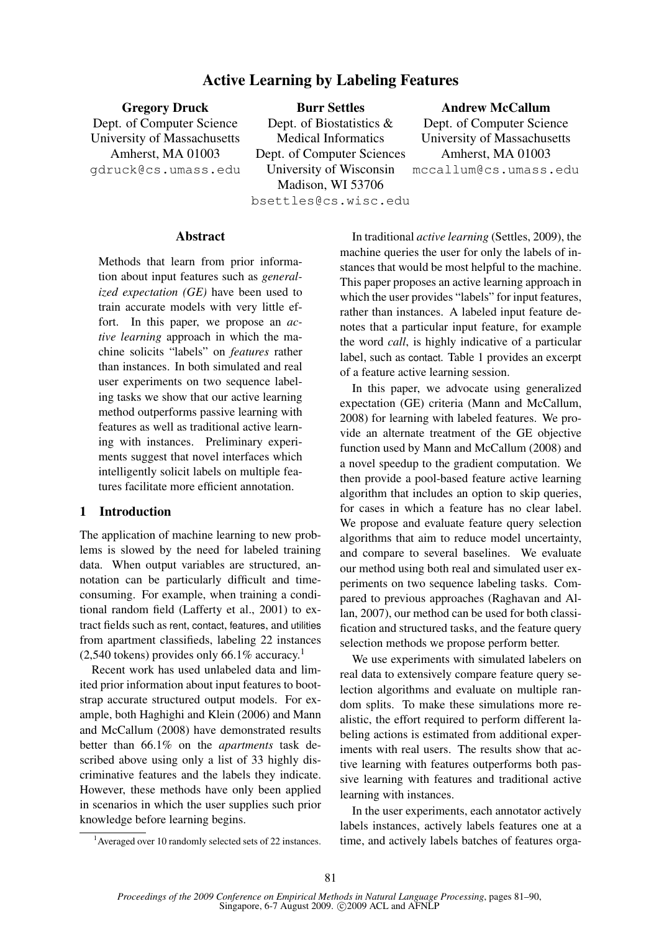# Active Learning by Labeling Features

| <b>Gregory Druck</b>        | <b>Burr Settles</b>         | <b>Andrew McCallum</b>      |  |  |
|-----------------------------|-----------------------------|-----------------------------|--|--|
| Dept. of Computer Science   | Dept. of Biostatistics $\&$ | Dept. of Computer Science   |  |  |
| University of Massachusetts | <b>Medical Informatics</b>  | University of Massachusetts |  |  |
| Amherst, MA 01003           | Dept. of Computer Sciences  | Amherst, MA 01003           |  |  |
| gdruck@cs.umass.edu         | University of Wisconsin     | mccallum@cs.umass.edu       |  |  |
|                             | Madison, WI 53706           |                             |  |  |

bsettles@cs.wisc.edu

# Abstract

Methods that learn from prior information about input features such as *generalized expectation (GE)* have been used to train accurate models with very little effort. In this paper, we propose an *active learning* approach in which the machine solicits "labels" on *features* rather than instances. In both simulated and real user experiments on two sequence labeling tasks we show that our active learning method outperforms passive learning with features as well as traditional active learning with instances. Preliminary experiments suggest that novel interfaces which intelligently solicit labels on multiple features facilitate more efficient annotation.

# 1 Introduction

The application of machine learning to new problems is slowed by the need for labeled training data. When output variables are structured, annotation can be particularly difficult and timeconsuming. For example, when training a conditional random field (Lafferty et al., 2001) to extract fields such as rent, contact, features, and utilities from apartment classifieds, labeling 22 instances  $(2,540 \text{ tokens})$  provides only 66.1% accuracy.<sup>1</sup>

Recent work has used unlabeled data and limited prior information about input features to bootstrap accurate structured output models. For example, both Haghighi and Klein (2006) and Mann and McCallum (2008) have demonstrated results better than 66.1% on the *apartments* task described above using only a list of 33 highly discriminative features and the labels they indicate. However, these methods have only been applied in scenarios in which the user supplies such prior knowledge before learning begins.

In traditional *active learning* (Settles, 2009), the machine queries the user for only the labels of instances that would be most helpful to the machine. This paper proposes an active learning approach in which the user provides "labels" for input features, rather than instances. A labeled input feature denotes that a particular input feature, for example the word *call*, is highly indicative of a particular label, such as contact. Table 1 provides an excerpt of a feature active learning session.

In this paper, we advocate using generalized expectation (GE) criteria (Mann and McCallum, 2008) for learning with labeled features. We provide an alternate treatment of the GE objective function used by Mann and McCallum (2008) and a novel speedup to the gradient computation. We then provide a pool-based feature active learning algorithm that includes an option to skip queries, for cases in which a feature has no clear label. We propose and evaluate feature query selection algorithms that aim to reduce model uncertainty, and compare to several baselines. We evaluate our method using both real and simulated user experiments on two sequence labeling tasks. Compared to previous approaches (Raghavan and Allan, 2007), our method can be used for both classification and structured tasks, and the feature query selection methods we propose perform better.

We use experiments with simulated labelers on real data to extensively compare feature query selection algorithms and evaluate on multiple random splits. To make these simulations more realistic, the effort required to perform different labeling actions is estimated from additional experiments with real users. The results show that active learning with features outperforms both passive learning with features and traditional active learning with instances.

In the user experiments, each annotator actively labels instances, actively labels features one at a time, and actively labels batches of features orga-

<sup>1</sup>Averaged over 10 randomly selected sets of 22 instances.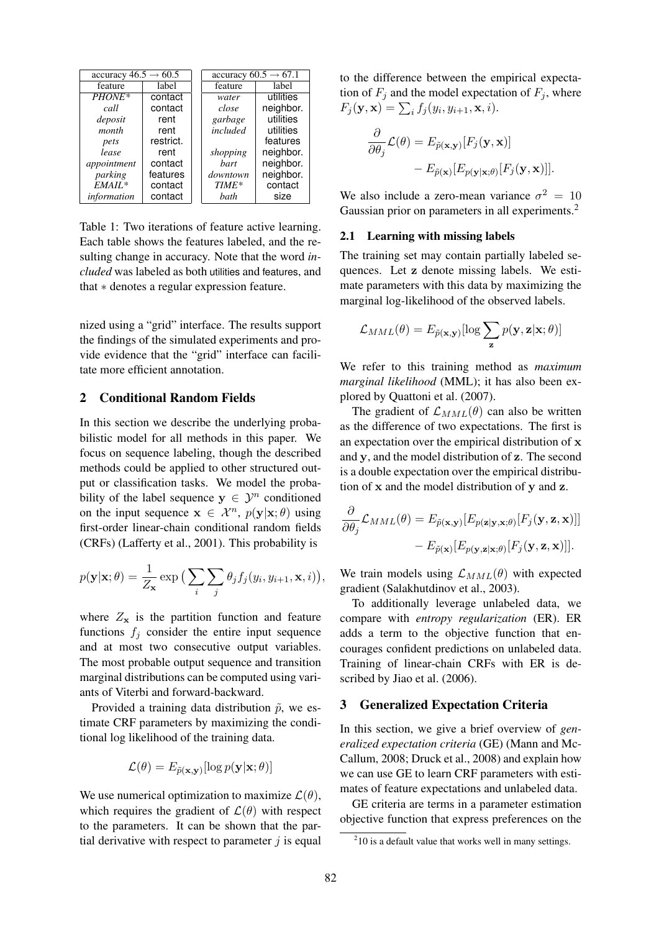| accuracy $46.5 \rightarrow 60.5$ |           | accuracy $60.5 \rightarrow 67.1$ |           |  |
|----------------------------------|-----------|----------------------------------|-----------|--|
| feature                          | label     | feature                          | label     |  |
| PHONE*                           | contact   | water                            | utilities |  |
| call                             | contact   | close                            | neighbor. |  |
| deposit                          | rent      | garbage                          | utilities |  |
| month                            | rent      | included                         | utilities |  |
| pets                             | restrict. |                                  | features  |  |
| lease                            | rent      | shopping                         | neighbor. |  |
| appointment                      | contact   | bart                             | neighbor. |  |
| parking                          | features  | downtown                         | neighbor. |  |
| $EMAIL*$                         | contact   | TIME*                            | contact   |  |
| information                      | contact   | bath                             | size      |  |

Table 1: Two iterations of feature active learning. Each table shows the features labeled, and the resulting change in accuracy. Note that the word *included* was labeled as both utilities and features, and that ∗ denotes a regular expression feature.

nized using a "grid" interface. The results support the findings of the simulated experiments and provide evidence that the "grid" interface can facilitate more efficient annotation.

# 2 Conditional Random Fields

In this section we describe the underlying probabilistic model for all methods in this paper. We focus on sequence labeling, though the described methods could be applied to other structured output or classification tasks. We model the probability of the label sequence  $y \in \mathcal{Y}^n$  conditioned on the input sequence  $\mathbf{x} \in \mathcal{X}^n$ ,  $p(\mathbf{y}|\mathbf{x};\theta)$  using first-order linear-chain conditional random fields (CRFs) (Lafferty et al., 2001). This probability is

$$
p(\mathbf{y}|\mathbf{x};\theta) = \frac{1}{Z_{\mathbf{x}}} \exp\big(\sum_{i} \sum_{j} \theta_{j} f_{j}(y_{i}, y_{i+1}, \mathbf{x}, i)\big),
$$

where  $Z_{\rm x}$  is the partition function and feature functions  $f_i$  consider the entire input sequence and at most two consecutive output variables. The most probable output sequence and transition marginal distributions can be computed using variants of Viterbi and forward-backward.

Provided a training data distribution  $\tilde{p}$ , we estimate CRF parameters by maximizing the conditional log likelihood of the training data.

$$
\mathcal{L}(\theta) = E_{\widetilde{p}(\mathbf{x}, \mathbf{y})}[\log p(\mathbf{y}|\mathbf{x}; \theta)]
$$

We use numerical optimization to maximize  $\mathcal{L}(\theta)$ , which requires the gradient of  $\mathcal{L}(\theta)$  with respect to the parameters. It can be shown that the partial derivative with respect to parameter  $j$  is equal

to the difference between the empirical expectation of  $F_j$  and the model expectation of  $F_j$ , where  $F_j(\mathbf{y}, \mathbf{x}) = \sum_i f_j(y_i, y_{i+1}, \mathbf{x}, i).$ 

$$
\frac{\partial}{\partial \theta_j} \mathcal{L}(\theta) = E_{\tilde{p}(\mathbf{x}, \mathbf{y})}[F_j(\mathbf{y}, \mathbf{x})] - E_{\tilde{p}(\mathbf{x})}[E_{p(\mathbf{y}|\mathbf{x};\theta)}[F_j(\mathbf{y}, \mathbf{x})]].
$$

We also include a zero-mean variance  $\sigma^2 = 10$ Gaussian prior on parameters in all experiments.<sup>2</sup>

### 2.1 Learning with missing labels

The training set may contain partially labeled sequences. Let z denote missing labels. We estimate parameters with this data by maximizing the marginal log-likelihood of the observed labels.

$$
\mathcal{L}_{MML}(\theta) = E_{\tilde{p}(\mathbf{x}, \mathbf{y})}[\log \sum_{\mathbf{z}} p(\mathbf{y}, \mathbf{z} | \mathbf{x}; \theta)]
$$

We refer to this training method as *maximum marginal likelihood* (MML); it has also been explored by Quattoni et al. (2007).

The gradient of  $\mathcal{L}_{MML}(\theta)$  can also be written as the difference of two expectations. The first is an expectation over the empirical distribution of x and y, and the model distribution of z. The second is a double expectation over the empirical distribution of x and the model distribution of y and z.

$$
\frac{\partial}{\partial \theta_j} \mathcal{L}_{MML}(\theta) = E_{\tilde{p}(\mathbf{x}, \mathbf{y})} [E_{p(\mathbf{z}|\mathbf{y}, \mathbf{x}; \theta)} [F_j(\mathbf{y}, \mathbf{z}, \mathbf{x})]]
$$

$$
- E_{\tilde{p}(\mathbf{x})} [E_{p(\mathbf{y}, \mathbf{z}|\mathbf{x}; \theta)} [F_j(\mathbf{y}, \mathbf{z}, \mathbf{x})]].
$$

We train models using  $\mathcal{L}_{MML}(\theta)$  with expected gradient (Salakhutdinov et al., 2003).

To additionally leverage unlabeled data, we compare with *entropy regularization* (ER). ER adds a term to the objective function that encourages confident predictions on unlabeled data. Training of linear-chain CRFs with ER is described by Jiao et al. (2006).

### 3 Generalized Expectation Criteria

In this section, we give a brief overview of *generalized expectation criteria* (GE) (Mann and Mc-Callum, 2008; Druck et al., 2008) and explain how we can use GE to learn CRF parameters with estimates of feature expectations and unlabeled data.

GE criteria are terms in a parameter estimation objective function that express preferences on the

 $210$  is a default value that works well in many settings.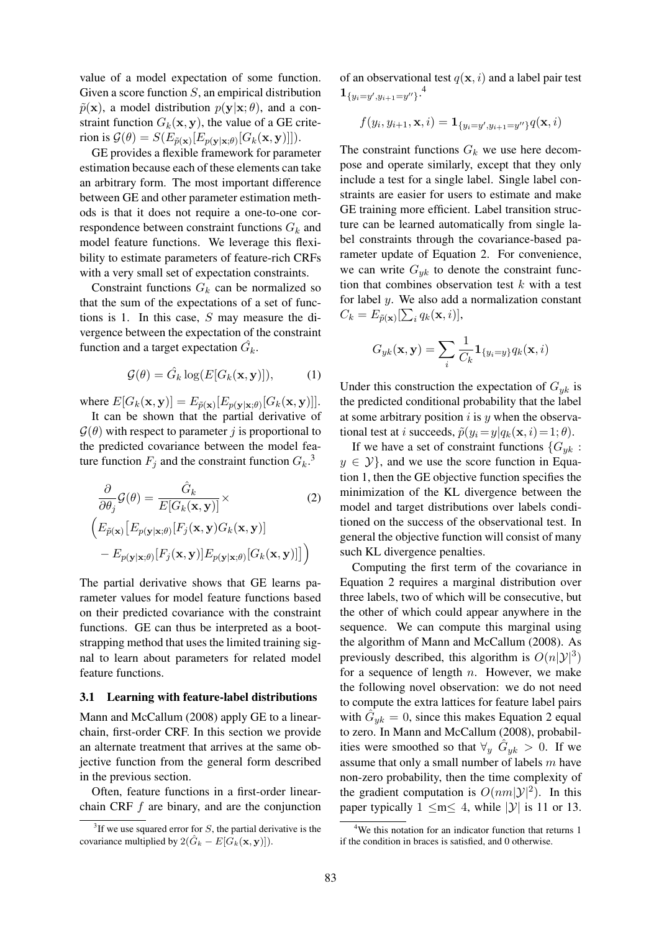value of a model expectation of some function. Given a score function S, an empirical distribution  $\tilde{p}(\mathbf{x})$ , a model distribution  $p(\mathbf{y}|\mathbf{x}; \theta)$ , and a constraint function  $G_k(\mathbf{x}, \mathbf{y})$ , the value of a GE criterion is  $\mathcal{G}(\theta) = S(E_{\tilde{p}(\mathbf{x})}[E_{p(\mathbf{y}|\mathbf{x};\theta)}[G_k(\mathbf{x}, \mathbf{y})]]).$ 

GE provides a flexible framework for parameter estimation because each of these elements can take an arbitrary form. The most important difference between GE and other parameter estimation methods is that it does not require a one-to-one correspondence between constraint functions  $G_k$  and model feature functions. We leverage this flexibility to estimate parameters of feature-rich CRFs with a very small set of expectation constraints.

Constraint functions  $G_k$  can be normalized so that the sum of the expectations of a set of functions is 1. In this case, S may measure the divergence between the expectation of the constraint function and a target expectation  $\hat{G}_k$ .

$$
\mathcal{G}(\theta) = \hat{G}_k \log(E[G_k(\mathbf{x}, \mathbf{y})]),\tag{1}
$$

where  $E[G_k(\mathbf{x}, \mathbf{y})] = E_{\tilde{p}(\mathbf{x})}[E_{p(\mathbf{y}|\mathbf{x};\theta)}[G_k(\mathbf{x}, \mathbf{y})]].$ 

It can be shown that the partial derivative of  $\mathcal{G}(\theta)$  with respect to parameter j is proportional to the predicted covariance between the model feature function  $F_j$  and the constraint function  $G_k$ .<sup>3</sup>

$$
\frac{\partial}{\partial \theta_j} \mathcal{G}(\theta) = \frac{\hat{G}_k}{E[G_k(\mathbf{x}, \mathbf{y})]} \times
$$
\n
$$
\left( E_{\tilde{p}(\mathbf{x})} \left[ E_{p(\mathbf{y}|\mathbf{x};\theta)} [F_j(\mathbf{x}, \mathbf{y}) G_k(\mathbf{x}, \mathbf{y})] - E_{p(\mathbf{y}|\mathbf{x};\theta)} [F_j(\mathbf{x}, \mathbf{y})] E_{p(\mathbf{y}|\mathbf{x};\theta)} [G_k(\mathbf{x}, \mathbf{y})] \right) \right)
$$
\n(2)

The partial derivative shows that GE learns parameter values for model feature functions based on their predicted covariance with the constraint functions. GE can thus be interpreted as a bootstrapping method that uses the limited training signal to learn about parameters for related model feature functions.

#### 3.1 Learning with feature-label distributions

Mann and McCallum (2008) apply GE to a linearchain, first-order CRF. In this section we provide an alternate treatment that arrives at the same objective function from the general form described in the previous section.

Often, feature functions in a first-order linearchain CRF f are binary, and are the conjunction of an observational test  $q(\mathbf{x}, i)$  and a label pair test  ${\bf 1}_{\{y_i=y',y_{i+1}=y''\}}$ .

$$
f(y_i, y_{i+1}, \mathbf{x}, i) = \mathbf{1}_{\{y_i = y', y_{i+1} = y''\}} q(\mathbf{x}, i)
$$

The constraint functions  $G_k$  we use here decompose and operate similarly, except that they only include a test for a single label. Single label constraints are easier for users to estimate and make GE training more efficient. Label transition structure can be learned automatically from single label constraints through the covariance-based parameter update of Equation 2. For convenience, we can write  $G_{yk}$  to denote the constraint function that combines observation test  $k$  with a test for label  $y$ . We also add a normalization constant  $C_k = E_{\tilde{p}(\mathbf{x})}[\sum_i q_k(\mathbf{x}, i)],$ 

$$
G_{yk}(\mathbf{x}, \mathbf{y}) = \sum_{i} \frac{1}{C_k} \mathbf{1}_{\{y_i = y\}} q_k(\mathbf{x}, i)
$$

Under this construction the expectation of  $G_{yk}$  is the predicted conditional probability that the label at some arbitrary position  $i$  is  $y$  when the observational test at *i* succeeds,  $\tilde{p}(y_i = y|q_k(\mathbf{x}, i) = 1; \theta)$ .

If we have a set of constraint functions  ${G_{yk}$ :  $y \in \mathcal{Y}$ , and we use the score function in Equation 1, then the GE objective function specifies the minimization of the KL divergence between the model and target distributions over labels conditioned on the success of the observational test. In general the objective function will consist of many such KL divergence penalties.

Computing the first term of the covariance in Equation 2 requires a marginal distribution over three labels, two of which will be consecutive, but the other of which could appear anywhere in the sequence. We can compute this marginal using the algorithm of Mann and McCallum (2008). As previously described, this algorithm is  $O(n|\mathcal{Y}|^3)$ for a sequence of length  $n$ . However, we make the following novel observation: we do not need to compute the extra lattices for feature label pairs with  $\hat{G}_{yk} = 0$ , since this makes Equation 2 equal to zero. In Mann and McCallum (2008), probabilities were smoothed so that  $\forall y \ \hat{G}_{yk} > 0$ . If we assume that only a small number of labels m have non-zero probability, then the time complexity of the gradient computation is  $O(nm|\mathcal{Y}|^2)$ . In this paper typically  $1 \leq m \leq 4$ , while |y| is 11 or 13.

<sup>&</sup>lt;sup>3</sup>If we use squared error for  $S$ , the partial derivative is the covariance multiplied by  $2(\hat{G}_k - E[G_k(\mathbf{x}, \mathbf{y})]).$ 

<sup>&</sup>lt;sup>4</sup>We this notation for an indicator function that returns 1 if the condition in braces is satisfied, and 0 otherwise.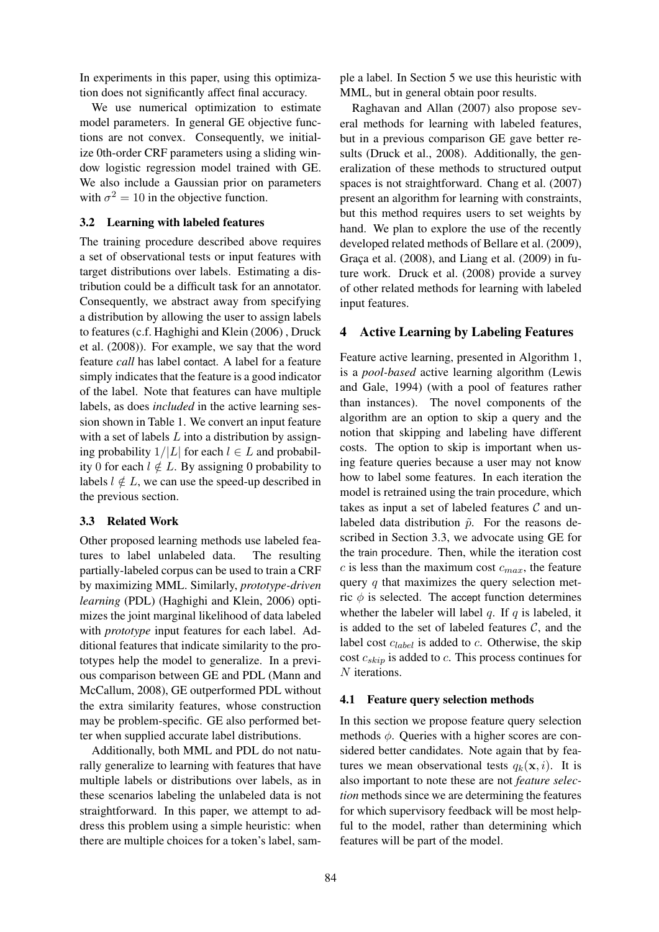In experiments in this paper, using this optimization does not significantly affect final accuracy.

We use numerical optimization to estimate model parameters. In general GE objective functions are not convex. Consequently, we initialize 0th-order CRF parameters using a sliding window logistic regression model trained with GE. We also include a Gaussian prior on parameters with  $\sigma^2 = 10$  in the objective function.

# 3.2 Learning with labeled features

The training procedure described above requires a set of observational tests or input features with target distributions over labels. Estimating a distribution could be a difficult task for an annotator. Consequently, we abstract away from specifying a distribution by allowing the user to assign labels to features (c.f. Haghighi and Klein (2006) , Druck et al. (2008)). For example, we say that the word feature *call* has label contact. A label for a feature simply indicates that the feature is a good indicator of the label. Note that features can have multiple labels, as does *included* in the active learning session shown in Table 1. We convert an input feature with a set of labels  $L$  into a distribution by assigning probability  $1/|L|$  for each  $l \in L$  and probability 0 for each  $l \notin L$ . By assigning 0 probability to labels  $l \notin L$ , we can use the speed-up described in the previous section.

#### 3.3 Related Work

Other proposed learning methods use labeled features to label unlabeled data. The resulting partially-labeled corpus can be used to train a CRF by maximizing MML. Similarly, *prototype-driven learning* (PDL) (Haghighi and Klein, 2006) optimizes the joint marginal likelihood of data labeled with *prototype* input features for each label. Additional features that indicate similarity to the prototypes help the model to generalize. In a previous comparison between GE and PDL (Mann and McCallum, 2008), GE outperformed PDL without the extra similarity features, whose construction may be problem-specific. GE also performed better when supplied accurate label distributions.

Additionally, both MML and PDL do not naturally generalize to learning with features that have multiple labels or distributions over labels, as in these scenarios labeling the unlabeled data is not straightforward. In this paper, we attempt to address this problem using a simple heuristic: when there are multiple choices for a token's label, sample a label. In Section 5 we use this heuristic with MML, but in general obtain poor results.

Raghavan and Allan (2007) also propose several methods for learning with labeled features, but in a previous comparison GE gave better results (Druck et al., 2008). Additionally, the generalization of these methods to structured output spaces is not straightforward. Chang et al. (2007) present an algorithm for learning with constraints, but this method requires users to set weights by hand. We plan to explore the use of the recently developed related methods of Bellare et al. (2009), Graça et al.  $(2008)$ , and Liang et al.  $(2009)$  in future work. Druck et al. (2008) provide a survey of other related methods for learning with labeled input features.

# 4 Active Learning by Labeling Features

Feature active learning, presented in Algorithm 1, is a *pool-based* active learning algorithm (Lewis and Gale, 1994) (with a pool of features rather than instances). The novel components of the algorithm are an option to skip a query and the notion that skipping and labeling have different costs. The option to skip is important when using feature queries because a user may not know how to label some features. In each iteration the model is retrained using the train procedure, which takes as input a set of labeled features  $\mathcal C$  and unlabeled data distribution  $\tilde{p}$ . For the reasons described in Section 3.3, we advocate using GE for the train procedure. Then, while the iteration cost c is less than the maximum cost  $c_{max}$ , the feature query  $q$  that maximizes the query selection metric  $\phi$  is selected. The accept function determines whether the labeler will label q. If q is labeled, it is added to the set of labeled features  $C$ , and the label cost  $c_{label}$  is added to  $c$ . Otherwise, the skip cost  $c_{skip}$  is added to c. This process continues for N iterations.

#### 4.1 Feature query selection methods

In this section we propose feature query selection methods  $\phi$ . Queries with a higher scores are considered better candidates. Note again that by features we mean observational tests  $q_k(\mathbf{x}, i)$ . It is also important to note these are not *feature selection* methods since we are determining the features for which supervisory feedback will be most helpful to the model, rather than determining which features will be part of the model.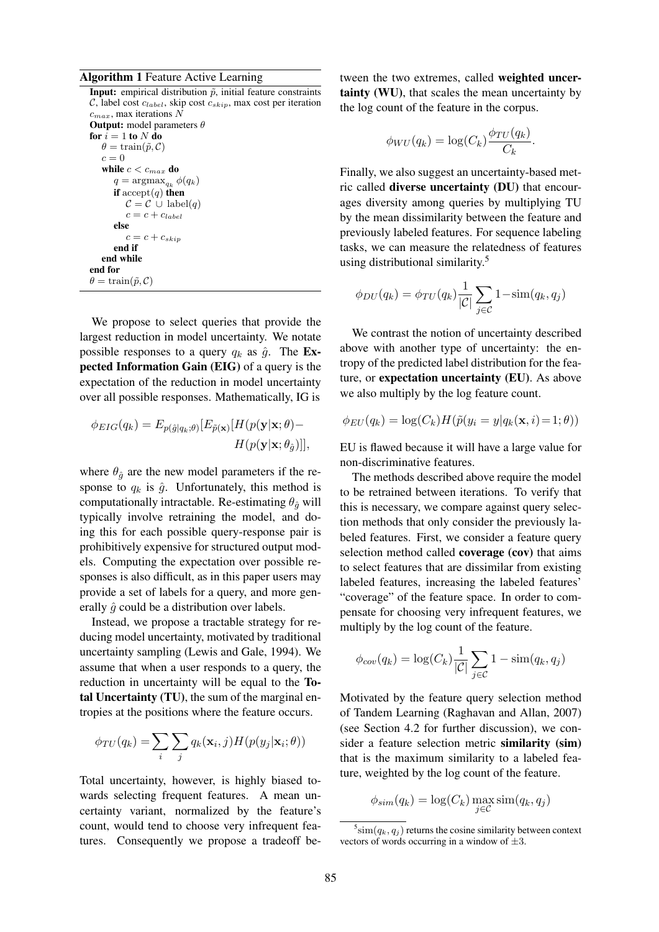#### Algorithm 1 Feature Active Learning

**Input:** empirical distribution  $\tilde{p}$ , initial feature constraints C, label cost  $c_{label}$ , skip cost  $c_{skip}$ , max cost per iteration  $c_{max}$ , max iterations  $\overline{N}$ **Output:** model parameters  $\theta$ for  $i = 1$  to  $N$  do  $\theta = \text{train}(\tilde{p}, C)$  $c = 0$ while  $c < c_{max}$  do  $q = \operatorname{argmax}_{q_k} \phi(q_k)$ if  $accept(q)$  then  $\mathcal{C} = \mathcal{C} \cup \mathrm{label}(q)$  $c = c + c_{label}$ else  $c = c + c_{skip}$ end if end while end for  $\theta = \text{train}(\tilde{p}, \mathcal{C})$ 

We propose to select queries that provide the largest reduction in model uncertainty. We notate possible responses to a query  $q_k$  as  $\hat{g}$ . The Expected Information Gain (EIG) of a query is the expectation of the reduction in model uncertainty over all possible responses. Mathematically, IG is

$$
\phi_{EIG}(q_k) = E_{p(\hat{g}|q_k;\theta)}[E_{\tilde{p}(\mathbf{x})}[H(p(\mathbf{y}|\mathbf{x};\theta) - H(p(\mathbf{y}|\mathbf{x};\theta)]],
$$

where  $\theta_{\hat{q}}$  are the new model parameters if the response to  $q_k$  is  $\hat{g}$ . Unfortunately, this method is computationally intractable. Re-estimating  $\theta_{\hat{a}}$  will typically involve retraining the model, and doing this for each possible query-response pair is prohibitively expensive for structured output models. Computing the expectation over possible responses is also difficult, as in this paper users may provide a set of labels for a query, and more generally  $\hat{g}$  could be a distribution over labels.

Instead, we propose a tractable strategy for reducing model uncertainty, motivated by traditional uncertainty sampling (Lewis and Gale, 1994). We assume that when a user responds to a query, the reduction in uncertainty will be equal to the Total Uncertainty (TU), the sum of the marginal entropies at the positions where the feature occurs.

$$
\phi_{TU}(q_k) = \sum_i \sum_j q_k(\mathbf{x}_i, j) H(p(y_j|\mathbf{x}_i; \theta))
$$

Total uncertainty, however, is highly biased towards selecting frequent features. A mean uncertainty variant, normalized by the feature's count, would tend to choose very infrequent features. Consequently we propose a tradeoff between the two extremes, called weighted uncertainty (WU), that scales the mean uncertainty by the log count of the feature in the corpus.

$$
\phi_{WU}(q_k) = \log(C_k) \frac{\phi_{TU}(q_k)}{C_k}
$$

.

Finally, we also suggest an uncertainty-based metric called diverse uncertainty (DU) that encourages diversity among queries by multiplying TU by the mean dissimilarity between the feature and previously labeled features. For sequence labeling tasks, we can measure the relatedness of features using distributional similarity.<sup>5</sup>

$$
\phi_{DU}(q_k) = \phi_{TU}(q_k) \frac{1}{|\mathcal{C}|} \sum_{j \in \mathcal{C}} 1 - \text{sim}(q_k, q_j)
$$

We contrast the notion of uncertainty described above with another type of uncertainty: the entropy of the predicted label distribution for the feature, or expectation uncertainty (EU). As above we also multiply by the log feature count.

$$
\phi_{EU}(q_k) = \log(C_k) H(\tilde{p}(y_i = y | q_k(\mathbf{x}, i) = 1; \theta))
$$

EU is flawed because it will have a large value for non-discriminative features.

The methods described above require the model to be retrained between iterations. To verify that this is necessary, we compare against query selection methods that only consider the previously labeled features. First, we consider a feature query selection method called **coverage** (cov) that aims to select features that are dissimilar from existing labeled features, increasing the labeled features' "coverage" of the feature space. In order to compensate for choosing very infrequent features, we multiply by the log count of the feature.

$$
\phi_{cov}(q_k) = \log(C_k) \frac{1}{|\mathcal{C}|} \sum_{j \in \mathcal{C}} 1 - \text{sim}(q_k, q_j)
$$

Motivated by the feature query selection method of Tandem Learning (Raghavan and Allan, 2007) (see Section 4.2 for further discussion), we consider a feature selection metric similarity (sim) that is the maximum similarity to a labeled feature, weighted by the log count of the feature.

$$
\phi_{sim}(q_k) = \log(C_k) \max_{j \in \mathcal{C}} \text{sim}(q_k, q_j)
$$

 $^5$ sim $(q_k, q_j)$  returns the cosine similarity between context vectors of words occurring in a window of  $\pm 3$ .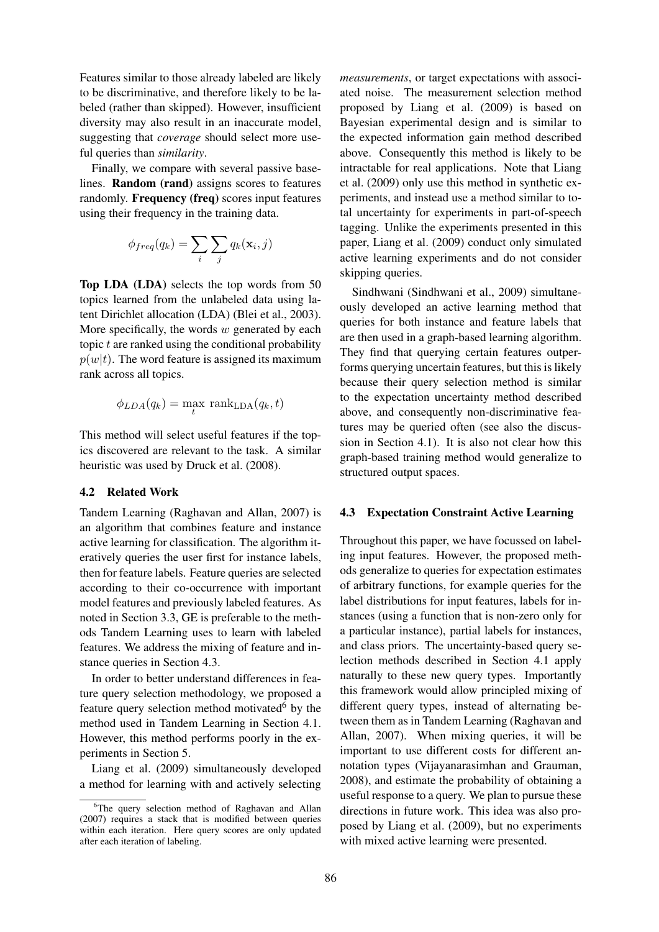Features similar to those already labeled are likely to be discriminative, and therefore likely to be labeled (rather than skipped). However, insufficient diversity may also result in an inaccurate model, suggesting that *coverage* should select more useful queries than *similarity*.

Finally, we compare with several passive baselines. Random (rand) assigns scores to features randomly. Frequency (freq) scores input features using their frequency in the training data.

$$
\phi_{freq}(q_k) = \sum_i \sum_j q_k(\mathbf{x}_i, j)
$$

Top LDA (LDA) selects the top words from 50 topics learned from the unlabeled data using latent Dirichlet allocation (LDA) (Blei et al., 2003). More specifically, the words  $w$  generated by each topic  $t$  are ranked using the conditional probability  $p(w|t)$ . The word feature is assigned its maximum rank across all topics.

$$
\phi_{LDA}(q_k) = \max_t \text{ rank}_{\text{LDA}}(q_k, t)
$$

This method will select useful features if the topics discovered are relevant to the task. A similar heuristic was used by Druck et al. (2008).

#### 4.2 Related Work

Tandem Learning (Raghavan and Allan, 2007) is an algorithm that combines feature and instance active learning for classification. The algorithm iteratively queries the user first for instance labels, then for feature labels. Feature queries are selected according to their co-occurrence with important model features and previously labeled features. As noted in Section 3.3, GE is preferable to the methods Tandem Learning uses to learn with labeled features. We address the mixing of feature and instance queries in Section 4.3.

In order to better understand differences in feature query selection methodology, we proposed a feature query selection method motivated $6$  by the method used in Tandem Learning in Section 4.1. However, this method performs poorly in the experiments in Section 5.

Liang et al. (2009) simultaneously developed a method for learning with and actively selecting *measurements*, or target expectations with associated noise. The measurement selection method proposed by Liang et al. (2009) is based on Bayesian experimental design and is similar to the expected information gain method described above. Consequently this method is likely to be intractable for real applications. Note that Liang et al. (2009) only use this method in synthetic experiments, and instead use a method similar to total uncertainty for experiments in part-of-speech tagging. Unlike the experiments presented in this paper, Liang et al. (2009) conduct only simulated active learning experiments and do not consider skipping queries.

Sindhwani (Sindhwani et al., 2009) simultaneously developed an active learning method that queries for both instance and feature labels that are then used in a graph-based learning algorithm. They find that querying certain features outperforms querying uncertain features, but this is likely because their query selection method is similar to the expectation uncertainty method described above, and consequently non-discriminative features may be queried often (see also the discussion in Section 4.1). It is also not clear how this graph-based training method would generalize to structured output spaces.

#### 4.3 Expectation Constraint Active Learning

Throughout this paper, we have focussed on labeling input features. However, the proposed methods generalize to queries for expectation estimates of arbitrary functions, for example queries for the label distributions for input features, labels for instances (using a function that is non-zero only for a particular instance), partial labels for instances, and class priors. The uncertainty-based query selection methods described in Section 4.1 apply naturally to these new query types. Importantly this framework would allow principled mixing of different query types, instead of alternating between them as in Tandem Learning (Raghavan and Allan, 2007). When mixing queries, it will be important to use different costs for different annotation types (Vijayanarasimhan and Grauman, 2008), and estimate the probability of obtaining a useful response to a query. We plan to pursue these directions in future work. This idea was also proposed by Liang et al. (2009), but no experiments with mixed active learning were presented.

<sup>&</sup>lt;sup>6</sup>The query selection method of Raghavan and Allan (2007) requires a stack that is modified between queries within each iteration. Here query scores are only updated after each iteration of labeling.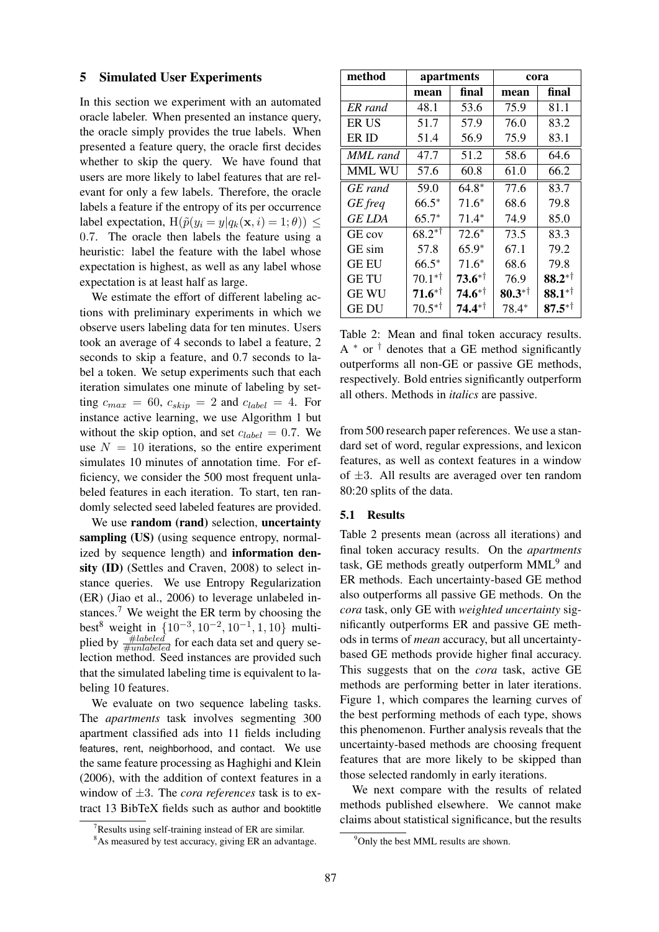### 5 Simulated User Experiments

In this section we experiment with an automated oracle labeler. When presented an instance query, the oracle simply provides the true labels. When presented a feature query, the oracle first decides whether to skip the query. We have found that users are more likely to label features that are relevant for only a few labels. Therefore, the oracle labels a feature if the entropy of its per occurrence label expectation,  $H(\tilde{p}(y_i = y | q_k(\mathbf{x}, i) = 1; \theta)) \le$ 0.7. The oracle then labels the feature using a heuristic: label the feature with the label whose expectation is highest, as well as any label whose expectation is at least half as large.

We estimate the effort of different labeling actions with preliminary experiments in which we observe users labeling data for ten minutes. Users took an average of 4 seconds to label a feature, 2 seconds to skip a feature, and 0.7 seconds to label a token. We setup experiments such that each iteration simulates one minute of labeling by setting  $c_{max} = 60$ ,  $c_{skip} = 2$  and  $c_{label} = 4$ . For instance active learning, we use Algorithm 1 but without the skip option, and set  $c_{label} = 0.7$ . We use  $N = 10$  iterations, so the entire experiment simulates 10 minutes of annotation time. For efficiency, we consider the 500 most frequent unlabeled features in each iteration. To start, ten randomly selected seed labeled features are provided.

We use random (rand) selection, uncertainty sampling (US) (using sequence entropy, normalized by sequence length) and information density (ID) (Settles and Craven, 2008) to select instance queries. We use Entropy Regularization (ER) (Jiao et al., 2006) to leverage unlabeled instances.<sup>7</sup> We weight the ER term by choosing the best<sup>8</sup> weight in  $\{10^{-3}, 10^{-2}, 10^{-1}, 1, 10\}$  multiplied by  $\frac{\#labeled}{\#unlabeled}$  for each data set and query selection method. Seed instances are provided such that the simulated labeling time is equivalent to labeling 10 features.

We evaluate on two sequence labeling tasks. The *apartments* task involves segmenting 300 apartment classified ads into 11 fields including features, rent, neighborhood, and contact. We use the same feature processing as Haghighi and Klein (2006), with the addition of context features in a window of ±3. The *cora references* task is to extract 13 BibTeX fields such as author and booktitle

| method        |                   | apartments  | cora               |             |  |
|---------------|-------------------|-------------|--------------------|-------------|--|
|               | mean              | final       | mean               | final       |  |
| ER rand       | 48.1              | 53.6        | 75.9               | 81.1        |  |
| ER US         | 51.7              | 57.9        | 76.0               | 83.2        |  |
| ER ID         | 51.4              | 56.9        | 75.9               | 83.1        |  |
| MML rand      | 47.7              | 51.2        | 58.6               | 64.6        |  |
| MML WU        | 57.6              | 60.8        | 61.0               | 66.2        |  |
| GE rand       | 59.0              | $64.8*$     | 77.6               | 83.7        |  |
| GE freq       | $66.5*$           | $71.6*$     | 68.6               | 79.8        |  |
| <b>GE LDA</b> | $65.7*$           | $71.4*$     | 74.9               | 85.0        |  |
| GE cov        | $68.2^{*}$        | $72.6*$     | 73.5               | 83.3        |  |
| GE sim        | 57.8              | $65.9*$     | 67.1               | 79.2        |  |
| <b>GE EU</b>  | $66.5*$           | $71.6*$     | 68.6               | 79.8        |  |
| <b>GETU</b>   | $70.1*^{\dagger}$ | $73.6^{*+}$ | 76.9               | $88.2^{*+}$ |  |
| <b>GE WU</b>  | $71.6^{*+}$       | $74.6^{*+}$ | $80.3**^{\dagger}$ | $88.1**$    |  |
| GE DU         | $70.5^{*†}$       | $74.4**$    | $78.4*$            | $87.5^{*+}$ |  |

Table 2: Mean and final token accuracy results.  $A^*$  or  $\dagger$  denotes that a GE method significantly outperforms all non-GE or passive GE methods, respectively. Bold entries significantly outperform all others. Methods in *italics* are passive.

from 500 research paper references. We use a standard set of word, regular expressions, and lexicon features, as well as context features in a window of  $\pm 3$ . All results are averaged over ten random 80:20 splits of the data.

### 5.1 Results

Table 2 presents mean (across all iterations) and final token accuracy results. On the *apartments* task, GE methods greatly outperform MML<sup>9</sup> and ER methods. Each uncertainty-based GE method also outperforms all passive GE methods. On the *cora* task, only GE with *weighted uncertainty* significantly outperforms ER and passive GE methods in terms of *mean* accuracy, but all uncertaintybased GE methods provide higher final accuracy. This suggests that on the *cora* task, active GE methods are performing better in later iterations. Figure 1, which compares the learning curves of the best performing methods of each type, shows this phenomenon. Further analysis reveals that the uncertainty-based methods are choosing frequent features that are more likely to be skipped than those selected randomly in early iterations.

We next compare with the results of related methods published elsewhere. We cannot make claims about statistical significance, but the results

 $7$ Results using self-training instead of ER are similar.

<sup>&</sup>lt;sup>8</sup>As measured by test accuracy, giving ER an advantage.

<sup>&</sup>lt;sup>9</sup>Only the best MML results are shown.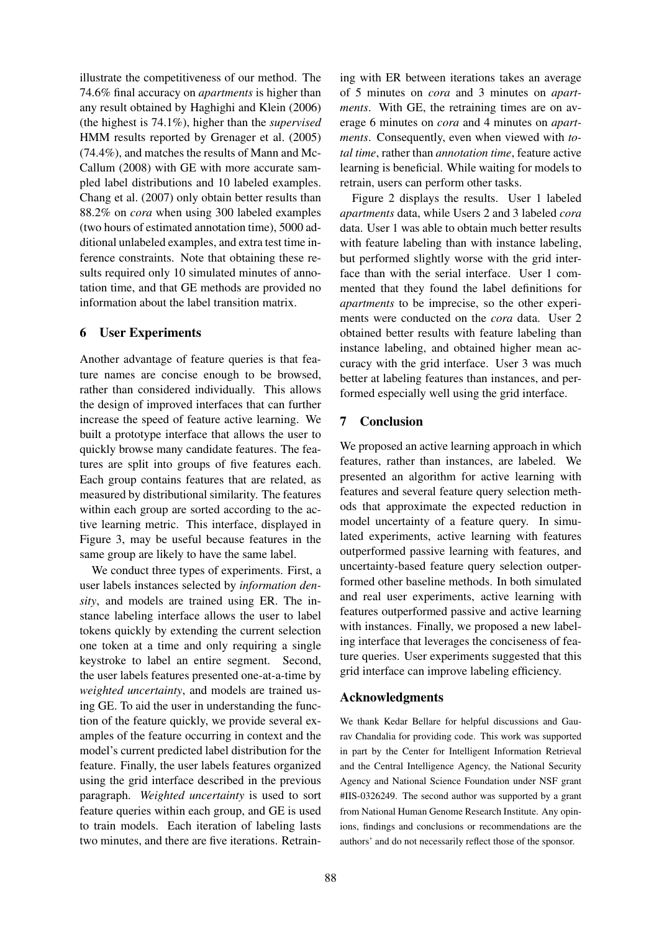illustrate the competitiveness of our method. The 74.6% final accuracy on *apartments* is higher than any result obtained by Haghighi and Klein (2006) (the highest is 74.1%), higher than the *supervised* HMM results reported by Grenager et al. (2005) (74.4%), and matches the results of Mann and Mc-Callum (2008) with GE with more accurate sampled label distributions and 10 labeled examples. Chang et al. (2007) only obtain better results than 88.2% on *cora* when using 300 labeled examples (two hours of estimated annotation time), 5000 additional unlabeled examples, and extra test time inference constraints. Note that obtaining these results required only 10 simulated minutes of annotation time, and that GE methods are provided no information about the label transition matrix.

# 6 User Experiments

Another advantage of feature queries is that feature names are concise enough to be browsed, rather than considered individually. This allows the design of improved interfaces that can further increase the speed of feature active learning. We built a prototype interface that allows the user to quickly browse many candidate features. The features are split into groups of five features each. Each group contains features that are related, as measured by distributional similarity. The features within each group are sorted according to the active learning metric. This interface, displayed in Figure 3, may be useful because features in the same group are likely to have the same label.

We conduct three types of experiments. First, a user labels instances selected by *information density*, and models are trained using ER. The instance labeling interface allows the user to label tokens quickly by extending the current selection one token at a time and only requiring a single keystroke to label an entire segment. Second, the user labels features presented one-at-a-time by *weighted uncertainty*, and models are trained using GE. To aid the user in understanding the function of the feature quickly, we provide several examples of the feature occurring in context and the model's current predicted label distribution for the feature. Finally, the user labels features organized using the grid interface described in the previous paragraph. *Weighted uncertainty* is used to sort feature queries within each group, and GE is used to train models. Each iteration of labeling lasts two minutes, and there are five iterations. Retrain-

ing with ER between iterations takes an average of 5 minutes on *cora* and 3 minutes on *apartments*. With GE, the retraining times are on average 6 minutes on *cora* and 4 minutes on *apartments*. Consequently, even when viewed with *total time*, rather than *annotation time*, feature active learning is beneficial. While waiting for models to retrain, users can perform other tasks.

Figure 2 displays the results. User 1 labeled *apartments* data, while Users 2 and 3 labeled *cora* data. User 1 was able to obtain much better results with feature labeling than with instance labeling, but performed slightly worse with the grid interface than with the serial interface. User 1 commented that they found the label definitions for *apartments* to be imprecise, so the other experiments were conducted on the *cora* data. User 2 obtained better results with feature labeling than instance labeling, and obtained higher mean accuracy with the grid interface. User 3 was much better at labeling features than instances, and performed especially well using the grid interface.

# 7 Conclusion

We proposed an active learning approach in which features, rather than instances, are labeled. We presented an algorithm for active learning with features and several feature query selection methods that approximate the expected reduction in model uncertainty of a feature query. In simulated experiments, active learning with features outperformed passive learning with features, and uncertainty-based feature query selection outperformed other baseline methods. In both simulated and real user experiments, active learning with features outperformed passive and active learning with instances. Finally, we proposed a new labeling interface that leverages the conciseness of feature queries. User experiments suggested that this grid interface can improve labeling efficiency.

# Acknowledgments

We thank Kedar Bellare for helpful discussions and Gaurav Chandalia for providing code. This work was supported in part by the Center for Intelligent Information Retrieval and the Central Intelligence Agency, the National Security Agency and National Science Foundation under NSF grant #IIS-0326249. The second author was supported by a grant from National Human Genome Research Institute. Any opinions, findings and conclusions or recommendations are the authors' and do not necessarily reflect those of the sponsor.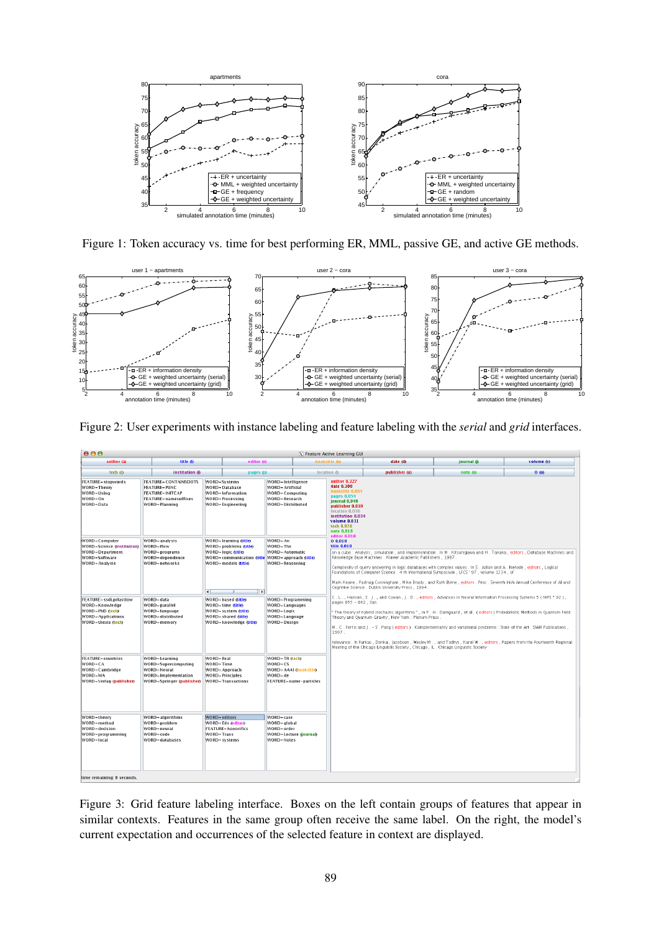

Figure 1: Token accuracy vs. time for best performing ER, MML, passive GE, and active GE methods.



Figure 2: User experiments with instance labeling and feature labeling with the *serial* and *grid* interfaces.

| 000<br>X Feature Active Learning GUI                                                                                  |                                                                                                                                                  |                                                                                  |                                                                                                                                                                                                           |                                                                                                                                                                                                                                                                                                                                                                                                                                                                                                                                                                                                                                                                                       |               |                                      |                                                                                                                                                                                                                                                                                                                                                                                                                                                                              |  |
|-----------------------------------------------------------------------------------------------------------------------|--------------------------------------------------------------------------------------------------------------------------------------------------|----------------------------------------------------------------------------------|-----------------------------------------------------------------------------------------------------------------------------------------------------------------------------------------------------------|---------------------------------------------------------------------------------------------------------------------------------------------------------------------------------------------------------------------------------------------------------------------------------------------------------------------------------------------------------------------------------------------------------------------------------------------------------------------------------------------------------------------------------------------------------------------------------------------------------------------------------------------------------------------------------------|---------------|--------------------------------------|------------------------------------------------------------------------------------------------------------------------------------------------------------------------------------------------------------------------------------------------------------------------------------------------------------------------------------------------------------------------------------------------------------------------------------------------------------------------------|--|
| title @                                                                                                               |                                                                                                                                                  |                                                                                  |                                                                                                                                                                                                           |                                                                                                                                                                                                                                                                                                                                                                                                                                                                                                                                                                                                                                                                                       | date (d)      | journal (i)                          | volume (v)                                                                                                                                                                                                                                                                                                                                                                                                                                                                   |  |
| institution (i)                                                                                                       |                                                                                                                                                  |                                                                                  | location (I)                                                                                                                                                                                              |                                                                                                                                                                                                                                                                                                                                                                                                                                                                                                                                                                                                                                                                                       | publisher (u) | note (n)                             | 0(0)                                                                                                                                                                                                                                                                                                                                                                                                                                                                         |  |
| <b>FEATURE=CONTAINSDOTS</b><br><b>FEATURE-PUNC</b><br>FEATURE=INITCAP<br><b>FEATURE-namesuffixes</b><br>WORD=Planning | WORD=Systems<br><b>WORD-Database</b><br>WORD=Information<br>WORD-Processing<br>WORD-Engineering                                                  |                                                                                  |                                                                                                                                                                                                           | author 0.327<br>date 0.300<br>booktitle 0.064<br>pages 0.054<br>journal 0.048<br>location 0.036<br>volume 0.031<br>tech 0.026<br>note 0.010                                                                                                                                                                                                                                                                                                                                                                                                                                                                                                                                           |               |                                      |                                                                                                                                                                                                                                                                                                                                                                                                                                                                              |  |
| WORD = analysis<br>WORD=flow<br>WORD=programs<br>WORD=dependence<br><b>WORD=networks</b>                              | WORD-learning (title)<br><b>WORD</b> =problems <i>ditle</i> )<br>WORD=logic <i>ditle</i><br><b>WORD=models (title)</b><br>$\overline{4}$         | WORD-An<br>WORD=The                                                              | editor 0.010<br>00.010<br>title 0.010<br>WORD=Automatic<br>Knowledge Base Machines . Kluwer Academic Publishers . 1987 .<br><b>WORD=Reasoning</b><br>Cognitive Science . Dublin University Press , 1994 . |                                                                                                                                                                                                                                                                                                                                                                                                                                                                                                                                                                                                                                                                                       |               |                                      |                                                                                                                                                                                                                                                                                                                                                                                                                                                                              |  |
| WORD-data<br>WORD=parallel<br>WORD=language<br>WORD=distributed<br>WORD=memory                                        | WORD-based <i>ditle</i> )<br>WORD=time (title)<br>WORD=system (title)<br><b>WORD</b> =shared <i>(Little</i> )<br>WORD=knowledge <i>(Little</i> ) | WORD-Programming<br>WORD=Languages<br>WORD=Logic<br>WORD-Language<br>WORD=Desian |                                                                                                                                                                                                           | C. L., Hanson, S. J., and Cowan, J. D., editors, Advances in Neural Information Processing Systems 5 (NIPS * 92),<br>pages 855 - 862, San<br>" The theory of hybrid stochastic algorithms ", in P. H. Damgaard, et al. (editors) Probabilistic Methods in Quantum Field<br>Theory and Quantum Gravity, New York: Plenum Press.<br>M. C. Ferris and   . - S. Pang (editors). Complementarity and variational problems : State of the Art . SIAM Publications.<br>1997.<br>relevance . In Farkas , Donka , Jacobsen , Wesley M and Todrys , Karol W editors , Papers from the Fourteenth Regional<br>Meeting of the Chicago Linguistic Society, Chicago, IL. Chicago Linguistic Society |               |                                      |                                                                                                                                                                                                                                                                                                                                                                                                                                                                              |  |
| WORD=Learning<br>WORD=Supercomputing<br>WORD-Neural<br>WORD=Implementation<br>WORD=Springer (publisher)               | WORD=Real<br>WORD=Time<br>WORD-Approach<br><b>WORD=Principles</b><br>WORD=Transactions                                                           | $WORD = CS$<br>$WORD = de$                                                       |                                                                                                                                                                                                           |                                                                                                                                                                                                                                                                                                                                                                                                                                                                                                                                                                                                                                                                                       |               |                                      |                                                                                                                                                                                                                                                                                                                                                                                                                                                                              |  |
| WORD=algorithms<br>WORD-problem<br>WORD=neural<br>WORD=code<br>WORD-databases                                         | WORD=editors<br>WORD-Eds (editor)<br><b>FEATURE-honorifics</b><br>WORD=Trans<br>WORD-systems                                                     |                                                                                  |                                                                                                                                                                                                           |                                                                                                                                                                                                                                                                                                                                                                                                                                                                                                                                                                                                                                                                                       |               |                                      |                                                                                                                                                                                                                                                                                                                                                                                                                                                                              |  |
|                                                                                                                       |                                                                                                                                                  |                                                                                  | editor (e)<br>pages (p)<br>l b                                                                                                                                                                            | WORD=Intelligence<br>WORD-Artificial<br>WORD=Computing<br>WORD-Research<br>WORD-Distributed<br>WORD=communication (title WORD=approach (title)<br>WORD=TR (tech)<br>WORD=AAAI (booktitle)<br>FEATURE=name-particles<br>WORD=case<br>WORD = global<br>WORD=order<br>WORD=Lecture <i>(journal)</i><br>WORD-Notes                                                                                                                                                                                                                                                                                                                                                                        | booktitle (b) | publisher 0.039<br>institution 0.034 | on a cube : Analysis , simulation , and implementation . In M . Kitsuregawa and H . Tanaka , editors , Database Machines and<br>Complexity of query answering in logic databases with complex values . In S. Adian and A. Nerode. editors . Logical<br>Foundations of Computer Science . 4 th International Symposium . LFCS ' 97 , volume 1234 , of<br>Mark Keane, Padraig Cunningham, Mike Brady, and Ruth Byrne, editors. Proc. Seventh Irish Annual Conference of Al and |  |

Figure 3: Grid feature labeling interface. Boxes on the left contain groups of features that appear in similar contexts. Features in the same group often receive the same label. On the right, the model's current expectation and occurrences of the selected feature in context are displayed.